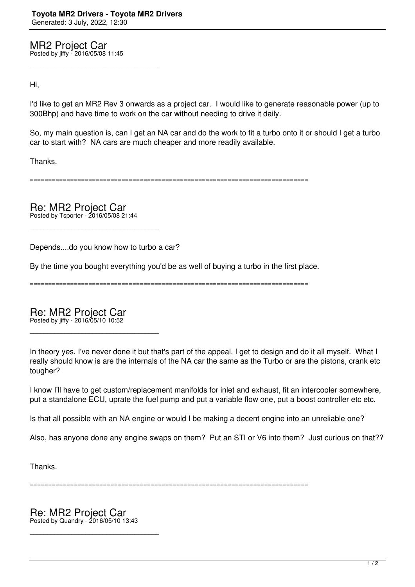MR2 Project Car Posted by jiffy - 2016/05/08 11:45

\_\_\_\_\_\_\_\_\_\_\_\_\_\_\_\_\_\_\_\_\_\_\_\_\_\_\_\_\_\_\_\_\_\_\_\_\_

Hi,

I'd like to get an MR2 Rev 3 onwards as a project car. I would like to generate reasonable power (up to 300Bhp) and have time to work on the car without needing to drive it daily.

So, my main question is, can I get an NA car and do the work to fit a turbo onto it or should I get a turbo car to start with? NA cars are much cheaper and more readily available.

Thanks.

============================================================================

Re: MR2 Project Car

Posted by Tsporter - 2016/05/08 21:44

\_\_\_\_\_\_\_\_\_\_\_\_\_\_\_\_\_\_\_\_\_\_\_\_\_\_\_\_\_\_\_\_\_\_\_\_\_

Depends....do you know how to turbo a car?

By the time you bought everything you'd be as well of buying a turbo in the first place.

============================================================================

Re: MR2 Project Car Posted by jiffy - 2016/05/10 10:52

\_\_\_\_\_\_\_\_\_\_\_\_\_\_\_\_\_\_\_\_\_\_\_\_\_\_\_\_\_\_\_\_\_\_\_\_\_

In theory yes, I've never done it but that's part of the appeal. I get to design and do it all myself. What I really should know is are the internals of the NA car the same as the Turbo or are the pistons, crank etc tougher?

I know I'll have to get custom/replacement manifolds for inlet and exhaust, fit an intercooler somewhere, put a standalone ECU, uprate the fuel pump and put a variable flow one, put a boost controller etc etc.

Is that all possible with an NA engine or would I be making a decent engine into an unreliable one?

Also, has anyone done any engine swaps on them? Put an STI or V6 into them? Just curious on that??

Thanks.

============================================================================

Re: MR2 Project Car Posted by Quandry - 2016/05/10 13:43

\_\_\_\_\_\_\_\_\_\_\_\_\_\_\_\_\_\_\_\_\_\_\_\_\_\_\_\_\_\_\_\_\_\_\_\_\_